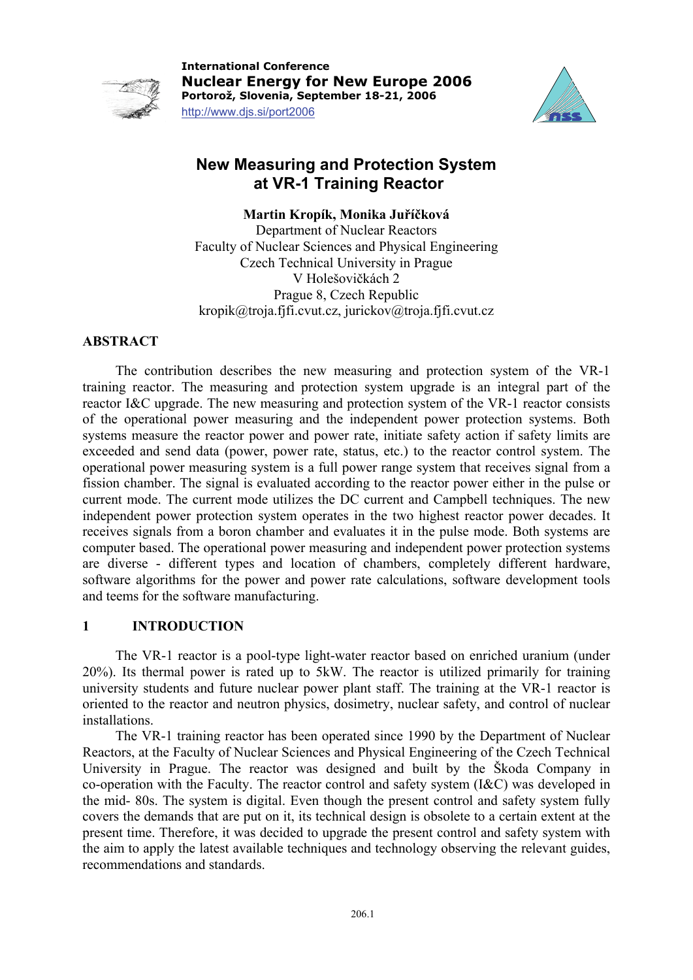

**International Conference Nuclear Energy for New Europe 2006 Portorož, Slovenia, September 18-21, 2006**  http://www.djs.si/port2006



# **New Measuring and Protection System at VR-1 Training Reactor**

**Martin Kropík, Monika Juříčková** 

Department of Nuclear Reactors Faculty of Nuclear Sciences and Physical Engineering Czech Technical University in Prague V Holešovičkách 2 Prague 8, Czech Republic [kropik@troja.fjfi.cvut.cz](mailto:kropik@troja.fjfi.cvut.cz), jurickov@troja.fjfi.cvut.cz

# **ABSTRACT**

The contribution describes the new measuring and protection system of the VR-1 training reactor. The measuring and protection system upgrade is an integral part of the reactor I&C upgrade. The new measuring and protection system of the VR-1 reactor consists of the operational power measuring and the independent power protection systems. Both systems measure the reactor power and power rate, initiate safety action if safety limits are exceeded and send data (power, power rate, status, etc.) to the reactor control system. The operational power measuring system is a full power range system that receives signal from a fission chamber. The signal is evaluated according to the reactor power either in the pulse or current mode. The current mode utilizes the DC current and Campbell techniques. The new independent power protection system operates in the two highest reactor power decades. It receives signals from a boron chamber and evaluates it in the pulse mode. Both systems are computer based. The operational power measuring and independent power protection systems are diverse - different types and location of chambers, completely different hardware, software algorithms for the power and power rate calculations, software development tools and teems for the software manufacturing.

## **1 INTRODUCTION**

The VR-1 reactor is a pool-type light-water reactor based on enriched uranium (under 20%). Its thermal power is rated up to 5kW. The reactor is utilized primarily for training university students and future nuclear power plant staff. The training at the VR-1 reactor is oriented to the reactor and neutron physics, dosimetry, nuclear safety, and control of nuclear installations.

The VR-1 training reactor has been operated since 1990 by the Department of Nuclear Reactors, at the Faculty of Nuclear Sciences and Physical Engineering of the Czech Technical University in Prague. The reactor was designed and built by the Škoda Company in co-operation with the Faculty. The reactor control and safety system (I&C) was developed in the mid- 80s. The system is digital. Even though the present control and safety system fully covers the demands that are put on it, its technical design is obsolete to a certain extent at the present time. Therefore, it was decided to upgrade the present control and safety system with the aim to apply the latest available techniques and technology observing the relevant guides, recommendations and standards.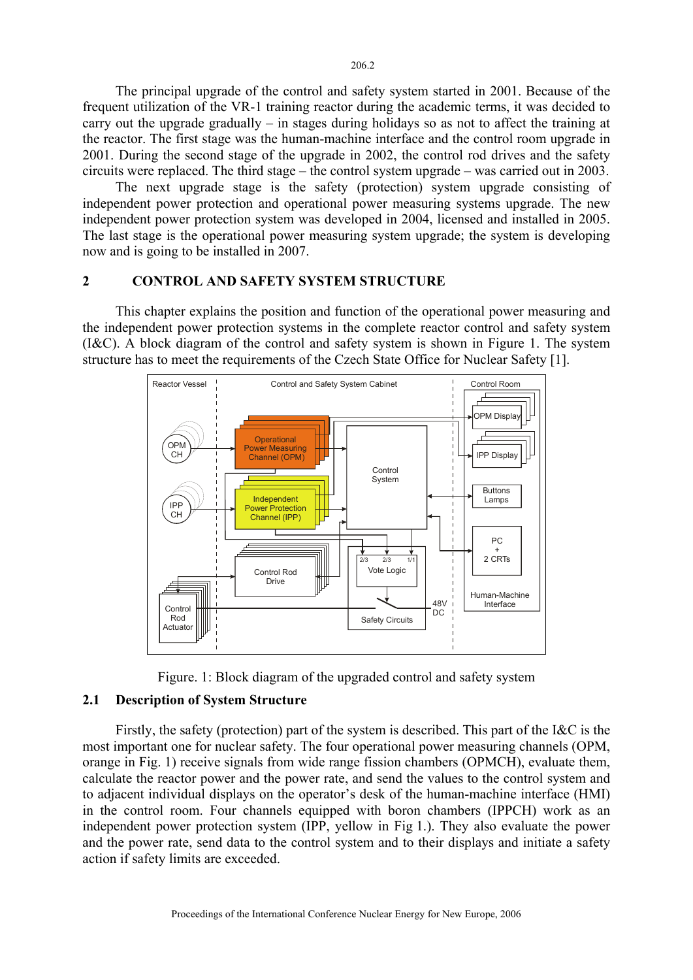The principal upgrade of the control and safety system started in 2001. Because of the frequent utilization of the VR-1 training reactor during the academic terms, it was decided to carry out the upgrade gradually – in stages during holidays so as not to affect the training at the reactor. The first stage was the human-machine interface and the control room upgrade in 2001. During the second stage of the upgrade in 2002, the control rod drives and the safety circuits were replaced. The third stage – the control system upgrade – was carried out in 2003.

The next upgrade stage is the safety (protection) system upgrade consisting of independent power protection and operational power measuring systems upgrade. The new independent power protection system was developed in 2004, licensed and installed in 2005. The last stage is the operational power measuring system upgrade; the system is developing now and is going to be installed in 2007.

#### **2 CONTROL AND SAFETY SYSTEM STRUCTURE**

This chapter explains the position and function of the operational power measuring and the independent power protection systems in the complete reactor control and safety system (I&C). A block diagram of the control and safety system is shown in Figure 1. The system structure has to meet the requirements of the Czech State Office for Nuclear Safety [1].





#### **2.1 Description of System Structure**

Firstly, the safety (protection) part of the system is described. This part of the I&C is the most important one for nuclear safety. The four operational power measuring channels (OPM, orange in Fig. 1) receive signals from wide range fission chambers (OPMCH), evaluate them, calculate the reactor power and the power rate, and send the values to the control system and to adjacent individual displays on the operator's desk of the human-machine interface (HMI) in the control room. Four channels equipped with boron chambers (IPPCH) work as an independent power protection system (IPP, yellow in Fig 1.). They also evaluate the power and the power rate, send data to the control system and to their displays and initiate a safety action if safety limits are exceeded.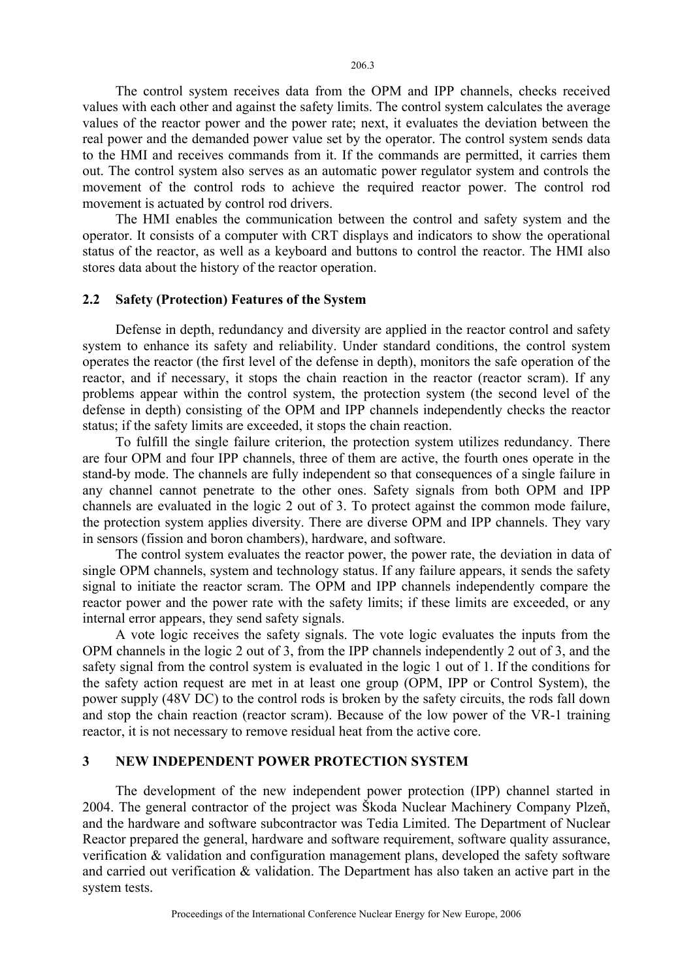The control system receives data from the OPM and IPP channels, checks received values with each other and against the safety limits. The control system calculates the average values of the reactor power and the power rate; next, it evaluates the deviation between the real power and the demanded power value set by the operator. The control system sends data to the HMI and receives commands from it. If the commands are permitted, it carries them out. The control system also serves as an automatic power regulator system and controls the movement of the control rods to achieve the required reactor power. The control rod movement is actuated by control rod drivers.

The HMI enables the communication between the control and safety system and the operator. It consists of a computer with CRT displays and indicators to show the operational status of the reactor, as well as a keyboard and buttons to control the reactor. The HMI also stores data about the history of the reactor operation.

#### **2.2 Safety (Protection) Features of the System**

Defense in depth, redundancy and diversity are applied in the reactor control and safety system to enhance its safety and reliability. Under standard conditions, the control system operates the reactor (the first level of the defense in depth), monitors the safe operation of the reactor, and if necessary, it stops the chain reaction in the reactor (reactor scram). If any problems appear within the control system, the protection system (the second level of the defense in depth) consisting of the OPM and IPP channels independently checks the reactor status; if the safety limits are exceeded, it stops the chain reaction.

To fulfill the single failure criterion, the protection system utilizes redundancy. There are four OPM and four IPP channels, three of them are active, the fourth ones operate in the stand-by mode. The channels are fully independent so that consequences of a single failure in any channel cannot penetrate to the other ones. Safety signals from both OPM and IPP channels are evaluated in the logic 2 out of 3. To protect against the common mode failure, the protection system applies diversity. There are diverse OPM and IPP channels. They vary in sensors (fission and boron chambers), hardware, and software.

The control system evaluates the reactor power, the power rate, the deviation in data of single OPM channels, system and technology status. If any failure appears, it sends the safety signal to initiate the reactor scram. The OPM and IPP channels independently compare the reactor power and the power rate with the safety limits; if these limits are exceeded, or any internal error appears, they send safety signals.

A vote logic receives the safety signals. The vote logic evaluates the inputs from the OPM channels in the logic 2 out of 3, from the IPP channels independently 2 out of 3, and the safety signal from the control system is evaluated in the logic 1 out of 1. If the conditions for the safety action request are met in at least one group (OPM, IPP or Control System), the power supply (48V DC) to the control rods is broken by the safety circuits, the rods fall down and stop the chain reaction (reactor scram). Because of the low power of the VR-1 training reactor, it is not necessary to remove residual heat from the active core.

#### **3 NEW INDEPENDENT POWER PROTECTION SYSTEM**

The development of the new independent power protection (IPP) channel started in 2004. The general contractor of the project was Škoda Nuclear Machinery Company Plzeň, and the hardware and software subcontractor was Tedia Limited. The Department of Nuclear Reactor prepared the general, hardware and software requirement, software quality assurance, verification & validation and configuration management plans, developed the safety software and carried out verification & validation. The Department has also taken an active part in the system tests.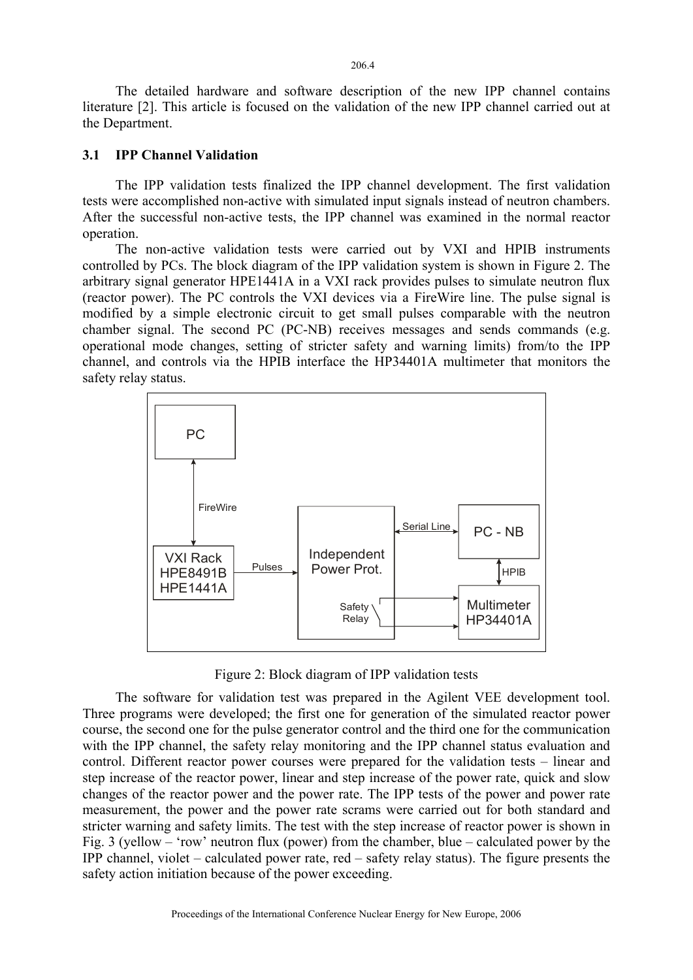The detailed hardware and software description of the new IPP channel contains literature [2]. This article is focused on the validation of the new IPP channel carried out at the Department.

#### **3.1 IPP Channel Validation**

The IPP validation tests finalized the IPP channel development. The first validation tests were accomplished non-active with simulated input signals instead of neutron chambers. After the successful non-active tests, the IPP channel was examined in the normal reactor operation.

The non-active validation tests were carried out by VXI and HPIB instruments controlled by PCs. The block diagram of the IPP validation system is shown in Figure 2. The arbitrary signal generator HPE1441A in a VXI rack provides pulses to simulate neutron flux (reactor power). The PC controls the VXI devices via a FireWire line. The pulse signal is modified by a simple electronic circuit to get small pulses comparable with the neutron chamber signal. The second PC (PC-NB) receives messages and sends commands (e.g. operational mode changes, setting of stricter safety and warning limits) from/to the IPP channel, and controls via the HPIB interface the HP34401A multimeter that monitors the safety relay status.



Figure 2: Block diagram of IPP validation tests

The software for validation test was prepared in the Agilent VEE development tool. Three programs were developed; the first one for generation of the simulated reactor power course, the second one for the pulse generator control and the third one for the communication with the IPP channel, the safety relay monitoring and the IPP channel status evaluation and control. Different reactor power courses were prepared for the validation tests – linear and step increase of the reactor power, linear and step increase of the power rate, quick and slow changes of the reactor power and the power rate. The IPP tests of the power and power rate measurement, the power and the power rate scrams were carried out for both standard and stricter warning and safety limits. The test with the step increase of reactor power is shown in Fig. 3 (yellow – 'row' neutron flux (power) from the chamber, blue – calculated power by the IPP channel, violet – calculated power rate, red – safety relay status). The figure presents the safety action initiation because of the power exceeding.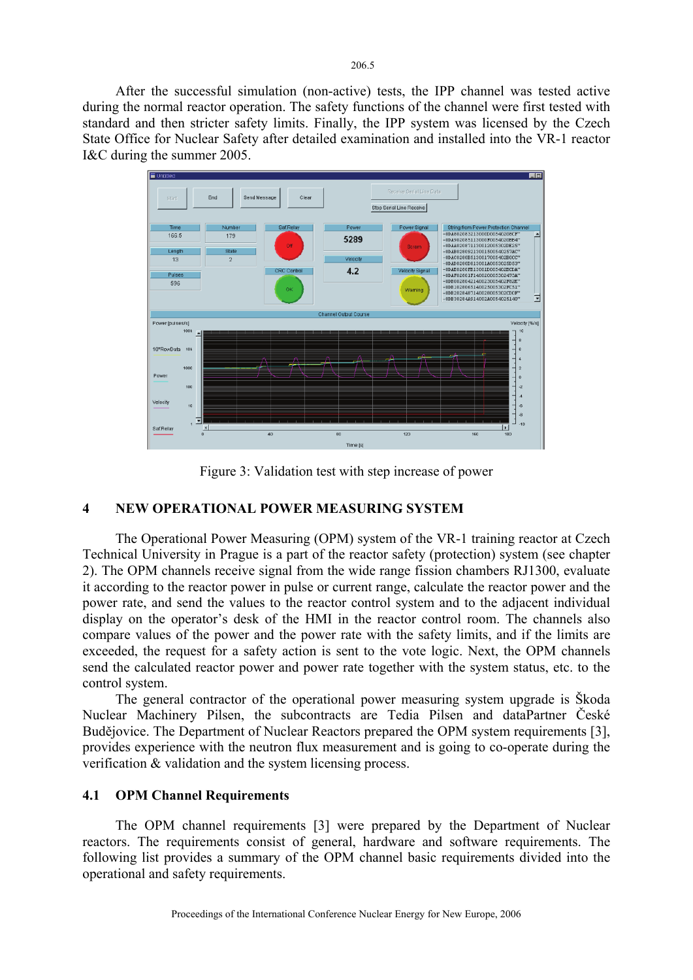After the successful simulation (non-active) tests, the IPP channel was tested active during the normal reactor operation. The safety functions of the channel were first tested with standard and then stricter safety limits. Finally, the IPP system was licensed by the Czech State Office for Nuclear Safety after detailed examination and installed into the VR-1 reactor I&C during the summer 2005.



Figure 3: Validation test with step increase of power

## **4 NEW OPERATIONAL POWER MEASURING SYSTEM**

The Operational Power Measuring (OPM) system of the VR-1 training reactor at Czech Technical University in Prague is a part of the reactor safety (protection) system (see chapter 2). The OPM channels receive signal from the wide range fission chambers RJ1300, evaluate it according to the reactor power in pulse or current range, calculate the reactor power and the power rate, and send the values to the reactor control system and to the adjacent individual display on the operator's desk of the HMI in the reactor control room. The channels also compare values of the power and the power rate with the safety limits, and if the limits are exceeded, the request for a safety action is sent to the vote logic. Next, the OPM channels send the calculated reactor power and power rate together with the system status, etc. to the control system.

The general contractor of the operational power measuring system upgrade is Škoda Nuclear Machinery Pilsen, the subcontracts are Tedia Pilsen and dataPartner České Budějovice. The Department of Nuclear Reactors prepared the OPM system requirements [3], provides experience with the neutron flux measurement and is going to co-operate during the verification & validation and the system licensing process.

## **4.1 OPM Channel Requirements**

The OPM channel requirements [3] were prepared by the Department of Nuclear reactors. The requirements consist of general, hardware and software requirements. The following list provides a summary of the OPM channel basic requirements divided into the operational and safety requirements.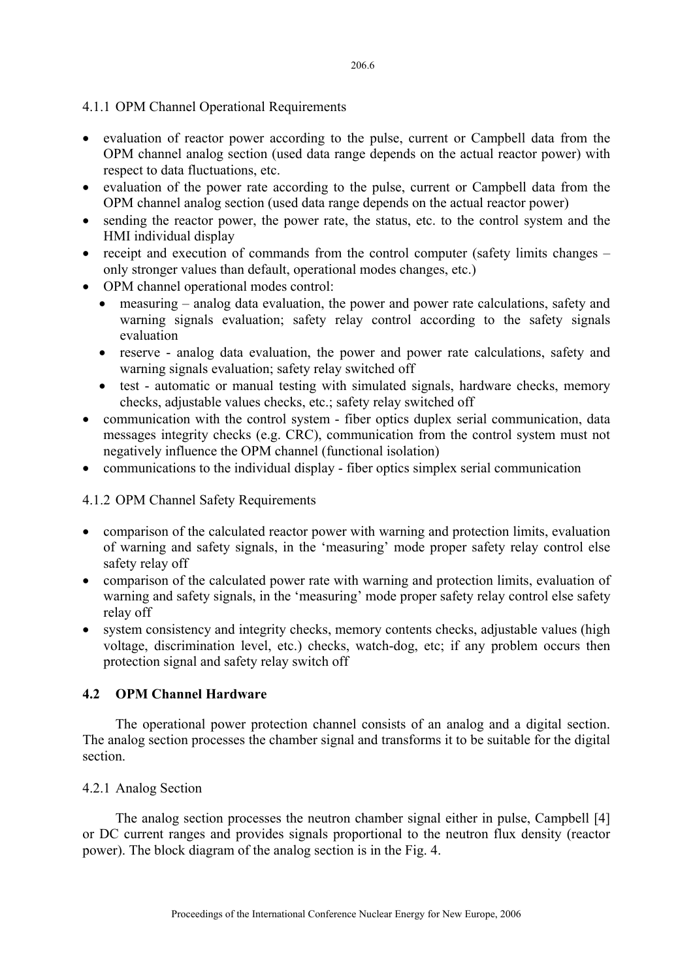#### 4.1.1 OPM Channel Operational Requirements

- evaluation of reactor power according to the pulse, current or Campbell data from the OPM channel analog section (used data range depends on the actual reactor power) with respect to data fluctuations, etc.
- evaluation of the power rate according to the pulse, current or Campbell data from the OPM channel analog section (used data range depends on the actual reactor power)
- sending the reactor power, the power rate, the status, etc. to the control system and the HMI individual display
- receipt and execution of commands from the control computer (safety limits changes only stronger values than default, operational modes changes, etc.)
- OPM channel operational modes control:
	- measuring analog data evaluation, the power and power rate calculations, safety and warning signals evaluation; safety relay control according to the safety signals evaluation
	- reserve analog data evaluation, the power and power rate calculations, safety and warning signals evaluation; safety relay switched off
	- test automatic or manual testing with simulated signals, hardware checks, memory checks, adjustable values checks, etc.; safety relay switched off
- communication with the control system fiber optics duplex serial communication, data messages integrity checks (e.g. CRC), communication from the control system must not negatively influence the OPM channel (functional isolation)
- communications to the individual display fiber optics simplex serial communication

## 4.1.2 OPM Channel Safety Requirements

- comparison of the calculated reactor power with warning and protection limits, evaluation of warning and safety signals, in the 'measuring' mode proper safety relay control else safety relay off
- comparison of the calculated power rate with warning and protection limits, evaluation of warning and safety signals, in the 'measuring' mode proper safety relay control else safety relay off
- system consistency and integrity checks, memory contents checks, adjustable values (high voltage, discrimination level, etc.) checks, watch-dog, etc; if any problem occurs then protection signal and safety relay switch off

## **4.2 OPM Channel Hardware**

The operational power protection channel consists of an analog and a digital section. The analog section processes the chamber signal and transforms it to be suitable for the digital section.

#### 4.2.1 Analog Section

The analog section processes the neutron chamber signal either in pulse, Campbell [4] or DC current ranges and provides signals proportional to the neutron flux density (reactor power). The block diagram of the analog section is in the Fig. 4.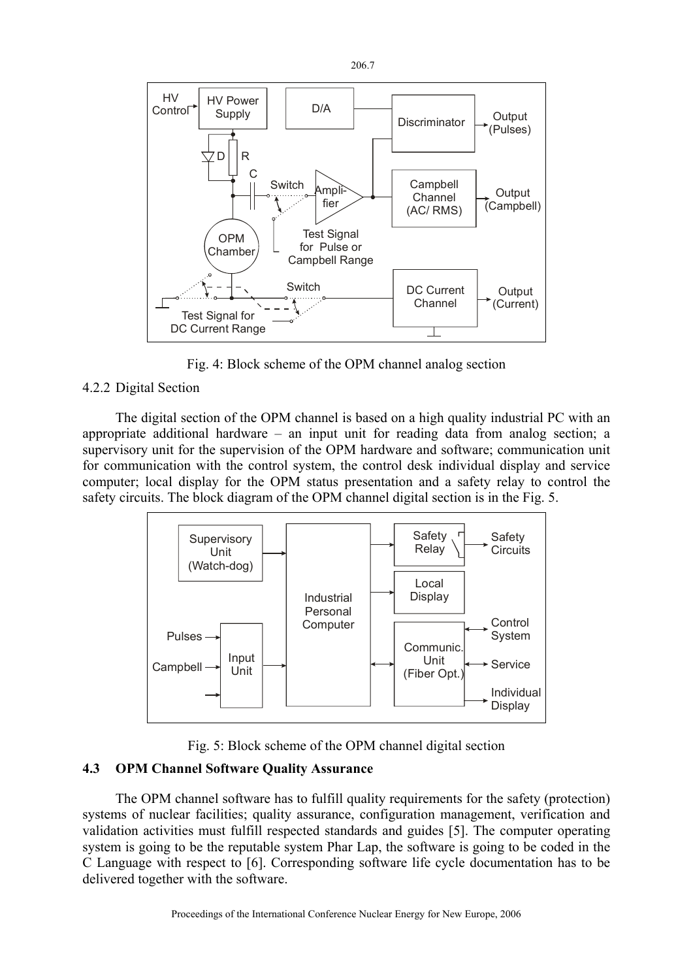

Fig. 4: Block scheme of the OPM channel analog section

## 4.2.2 Digital Section

The digital section of the OPM channel is based on a high quality industrial PC with an appropriate additional hardware – an input unit for reading data from analog section; a supervisory unit for the supervision of the OPM hardware and software; communication unit for communication with the control system, the control desk individual display and service computer; local display for the OPM status presentation and a safety relay to control the safety circuits. The block diagram of the OPM channel digital section is in the Fig. 5.





## **4.3 OPM Channel Software Quality Assurance**

The OPM channel software has to fulfill quality requirements for the safety (protection) systems of nuclear facilities; quality assurance, configuration management, verification and validation activities must fulfill respected standards and guides [5]. The computer operating system is going to be the reputable system Phar Lap, the software is going to be coded in the C Language with respect to [6]. Corresponding software life cycle documentation has to be delivered together with the software.